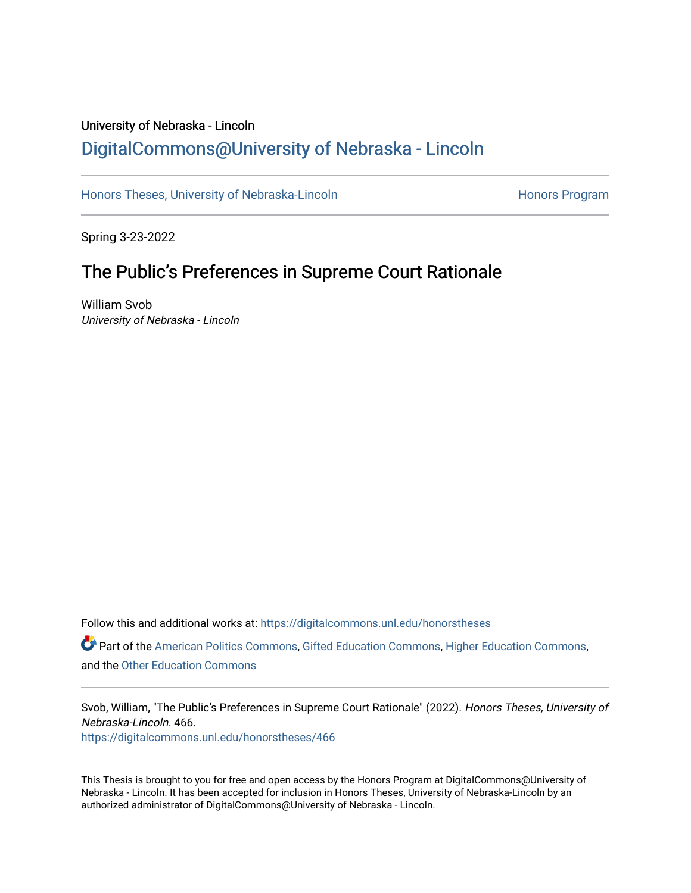## University of Nebraska - Lincoln [DigitalCommons@University of Nebraska - Lincoln](https://digitalcommons.unl.edu/)

[Honors Theses, University of Nebraska-Lincoln](https://digitalcommons.unl.edu/honorstheses) **Honors Program** Honors Program

Spring 3-23-2022

# The Public's Preferences in Supreme Court Rationale

William Svob University of Nebraska - Lincoln

Follow this and additional works at: [https://digitalcommons.unl.edu/honorstheses](https://digitalcommons.unl.edu/honorstheses?utm_source=digitalcommons.unl.edu%2Fhonorstheses%2F466&utm_medium=PDF&utm_campaign=PDFCoverPages)

Part of the [American Politics Commons,](http://network.bepress.com/hgg/discipline/387?utm_source=digitalcommons.unl.edu%2Fhonorstheses%2F466&utm_medium=PDF&utm_campaign=PDFCoverPages) [Gifted Education Commons,](http://network.bepress.com/hgg/discipline/1048?utm_source=digitalcommons.unl.edu%2Fhonorstheses%2F466&utm_medium=PDF&utm_campaign=PDFCoverPages) [Higher Education Commons,](http://network.bepress.com/hgg/discipline/1245?utm_source=digitalcommons.unl.edu%2Fhonorstheses%2F466&utm_medium=PDF&utm_campaign=PDFCoverPages) and the [Other Education Commons](http://network.bepress.com/hgg/discipline/811?utm_source=digitalcommons.unl.edu%2Fhonorstheses%2F466&utm_medium=PDF&utm_campaign=PDFCoverPages)

Svob, William, "The Public's Preferences in Supreme Court Rationale" (2022). Honors Theses, University of Nebraska-Lincoln. 466. [https://digitalcommons.unl.edu/honorstheses/466](https://digitalcommons.unl.edu/honorstheses/466?utm_source=digitalcommons.unl.edu%2Fhonorstheses%2F466&utm_medium=PDF&utm_campaign=PDFCoverPages)

This Thesis is brought to you for free and open access by the Honors Program at DigitalCommons@University of Nebraska - Lincoln. It has been accepted for inclusion in Honors Theses, University of Nebraska-Lincoln by an authorized administrator of DigitalCommons@University of Nebraska - Lincoln.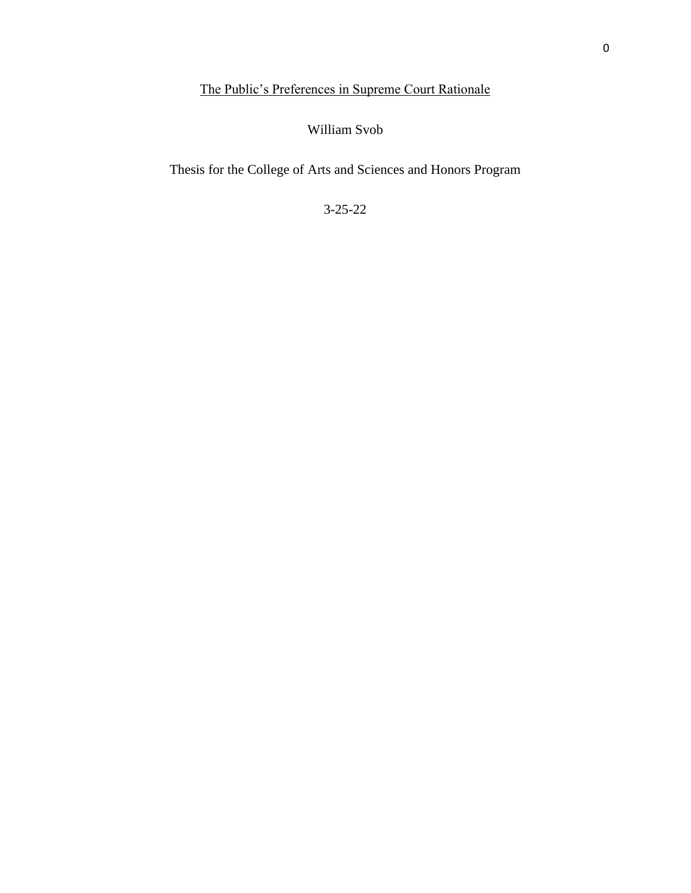## The Public's Preferences in Supreme Court Rationale

### William Svob

Thesis for the College of Arts and Sciences and Honors Program

3-25-22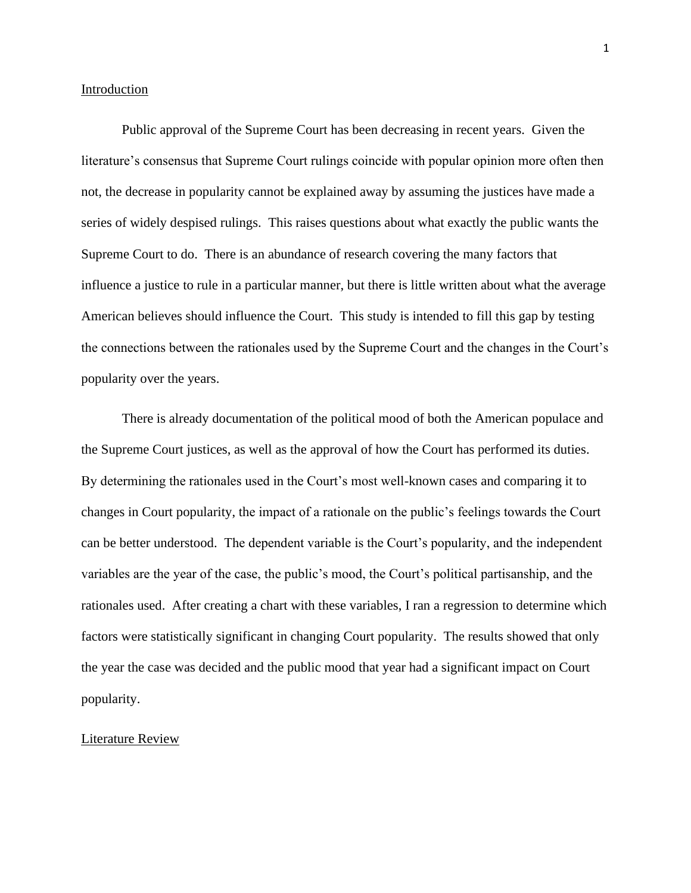#### Introduction

Public approval of the Supreme Court has been decreasing in recent years. Given the literature's consensus that Supreme Court rulings coincide with popular opinion more often then not, the decrease in popularity cannot be explained away by assuming the justices have made a series of widely despised rulings. This raises questions about what exactly the public wants the Supreme Court to do. There is an abundance of research covering the many factors that influence a justice to rule in a particular manner, but there is little written about what the average American believes should influence the Court. This study is intended to fill this gap by testing the connections between the rationales used by the Supreme Court and the changes in the Court's popularity over the years.

There is already documentation of the political mood of both the American populace and the Supreme Court justices, as well as the approval of how the Court has performed its duties. By determining the rationales used in the Court's most well-known cases and comparing it to changes in Court popularity, the impact of a rationale on the public's feelings towards the Court can be better understood. The dependent variable is the Court's popularity, and the independent variables are the year of the case, the public's mood, the Court's political partisanship, and the rationales used. After creating a chart with these variables, I ran a regression to determine which factors were statistically significant in changing Court popularity. The results showed that only the year the case was decided and the public mood that year had a significant impact on Court popularity.

#### Literature Review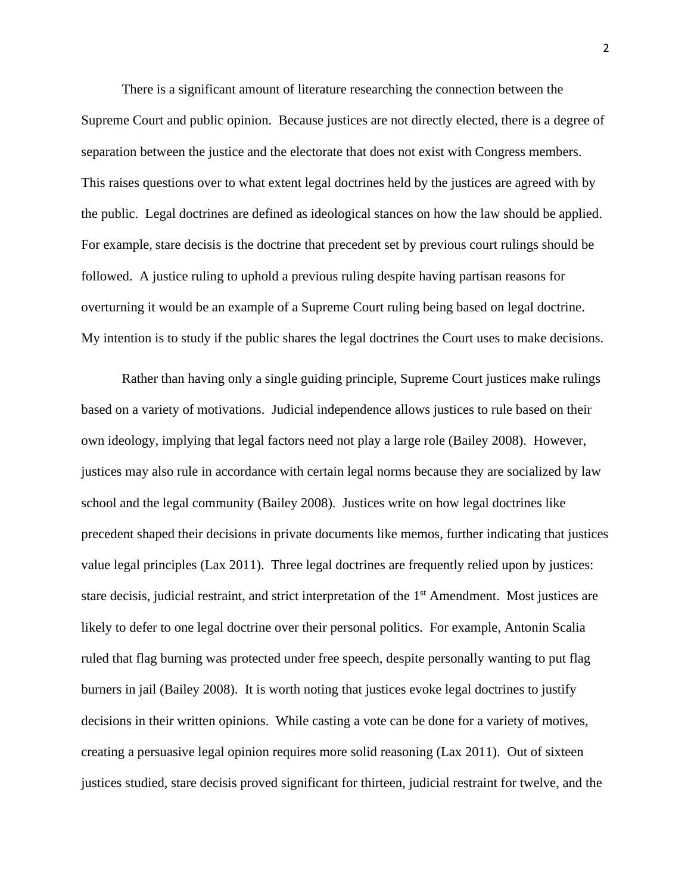There is a significant amount of literature researching the connection between the Supreme Court and public opinion. Because justices are not directly elected, there is a degree of separation between the justice and the electorate that does not exist with Congress members. This raises questions over to what extent legal doctrines held by the justices are agreed with by the public. Legal doctrines are defined as ideological stances on how the law should be applied. For example, stare decisis is the doctrine that precedent set by previous court rulings should be followed. A justice ruling to uphold a previous ruling despite having partisan reasons for overturning it would be an example of a Supreme Court ruling being based on legal doctrine. My intention is to study if the public shares the legal doctrines the Court uses to make decisions.

Rather than having only a single guiding principle, Supreme Court justices make rulings based on a variety of motivations. Judicial independence allows justices to rule based on their own ideology, implying that legal factors need not play a large role (Bailey 2008). However, justices may also rule in accordance with certain legal norms because they are socialized by law school and the legal community (Bailey 2008). Justices write on how legal doctrines like precedent shaped their decisions in private documents like memos, further indicating that justices value legal principles (Lax 2011). Three legal doctrines are frequently relied upon by justices: stare decisis, judicial restraint, and strict interpretation of the 1<sup>st</sup> Amendment. Most justices are likely to defer to one legal doctrine over their personal politics. For example, Antonin Scalia ruled that flag burning was protected under free speech, despite personally wanting to put flag burners in jail (Bailey 2008). It is worth noting that justices evoke legal doctrines to justify decisions in their written opinions. While casting a vote can be done for a variety of motives, creating a persuasive legal opinion requires more solid reasoning (Lax 2011). Out of sixteen justices studied, stare decisis proved significant for thirteen, judicial restraint for twelve, and the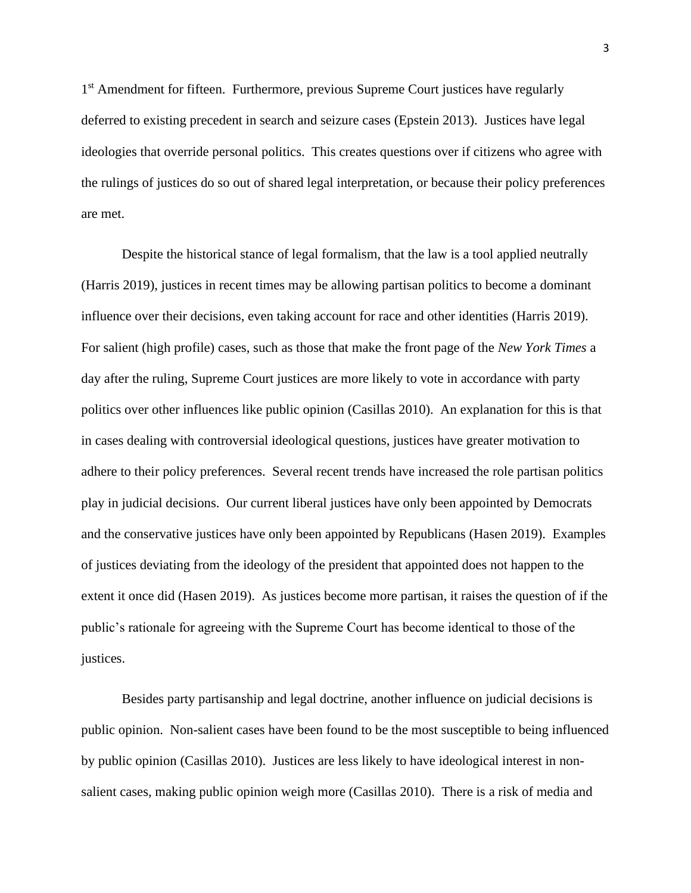1<sup>st</sup> Amendment for fifteen. Furthermore, previous Supreme Court justices have regularly deferred to existing precedent in search and seizure cases (Epstein 2013). Justices have legal ideologies that override personal politics. This creates questions over if citizens who agree with the rulings of justices do so out of shared legal interpretation, or because their policy preferences are met.

Despite the historical stance of legal formalism, that the law is a tool applied neutrally (Harris 2019), justices in recent times may be allowing partisan politics to become a dominant influence over their decisions, even taking account for race and other identities (Harris 2019). For salient (high profile) cases, such as those that make the front page of the *New York Times* a day after the ruling, Supreme Court justices are more likely to vote in accordance with party politics over other influences like public opinion (Casillas 2010). An explanation for this is that in cases dealing with controversial ideological questions, justices have greater motivation to adhere to their policy preferences. Several recent trends have increased the role partisan politics play in judicial decisions. Our current liberal justices have only been appointed by Democrats and the conservative justices have only been appointed by Republicans (Hasen 2019). Examples of justices deviating from the ideology of the president that appointed does not happen to the extent it once did (Hasen 2019). As justices become more partisan, it raises the question of if the public's rationale for agreeing with the Supreme Court has become identical to those of the justices.

Besides party partisanship and legal doctrine, another influence on judicial decisions is public opinion. Non-salient cases have been found to be the most susceptible to being influenced by public opinion (Casillas 2010). Justices are less likely to have ideological interest in nonsalient cases, making public opinion weigh more (Casillas 2010). There is a risk of media and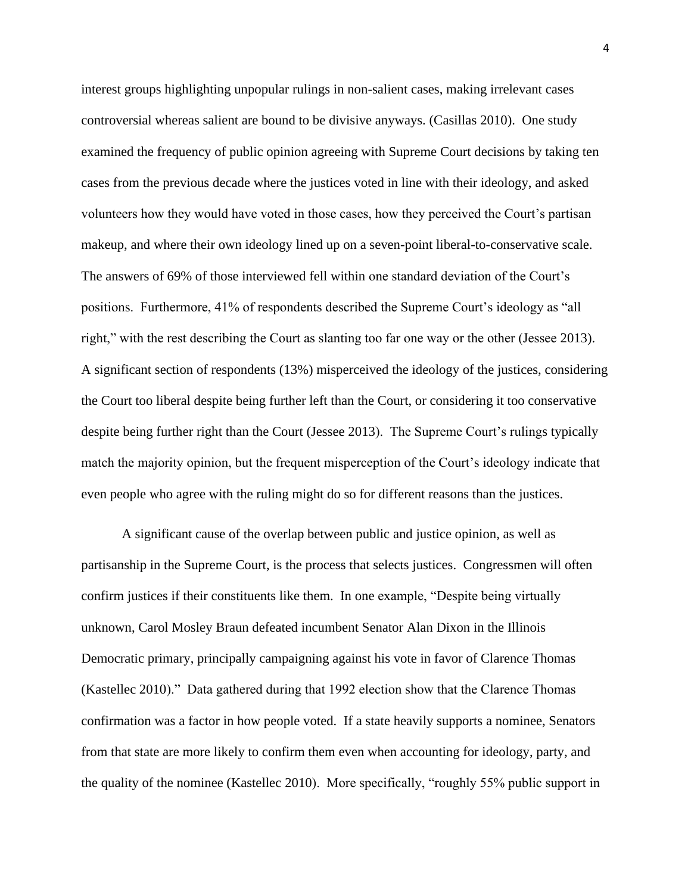interest groups highlighting unpopular rulings in non-salient cases, making irrelevant cases controversial whereas salient are bound to be divisive anyways. (Casillas 2010). One study examined the frequency of public opinion agreeing with Supreme Court decisions by taking ten cases from the previous decade where the justices voted in line with their ideology, and asked volunteers how they would have voted in those cases, how they perceived the Court's partisan makeup, and where their own ideology lined up on a seven-point liberal-to-conservative scale. The answers of 69% of those interviewed fell within one standard deviation of the Court's positions. Furthermore, 41% of respondents described the Supreme Court's ideology as "all right," with the rest describing the Court as slanting too far one way or the other (Jessee 2013). A significant section of respondents (13%) misperceived the ideology of the justices, considering the Court too liberal despite being further left than the Court, or considering it too conservative despite being further right than the Court (Jessee 2013). The Supreme Court's rulings typically match the majority opinion, but the frequent misperception of the Court's ideology indicate that even people who agree with the ruling might do so for different reasons than the justices.

A significant cause of the overlap between public and justice opinion, as well as partisanship in the Supreme Court, is the process that selects justices. Congressmen will often confirm justices if their constituents like them. In one example, "Despite being virtually unknown, Carol Mosley Braun defeated incumbent Senator Alan Dixon in the Illinois Democratic primary, principally campaigning against his vote in favor of Clarence Thomas (Kastellec 2010)." Data gathered during that 1992 election show that the Clarence Thomas confirmation was a factor in how people voted. If a state heavily supports a nominee, Senators from that state are more likely to confirm them even when accounting for ideology, party, and the quality of the nominee (Kastellec 2010). More specifically, "roughly 55% public support in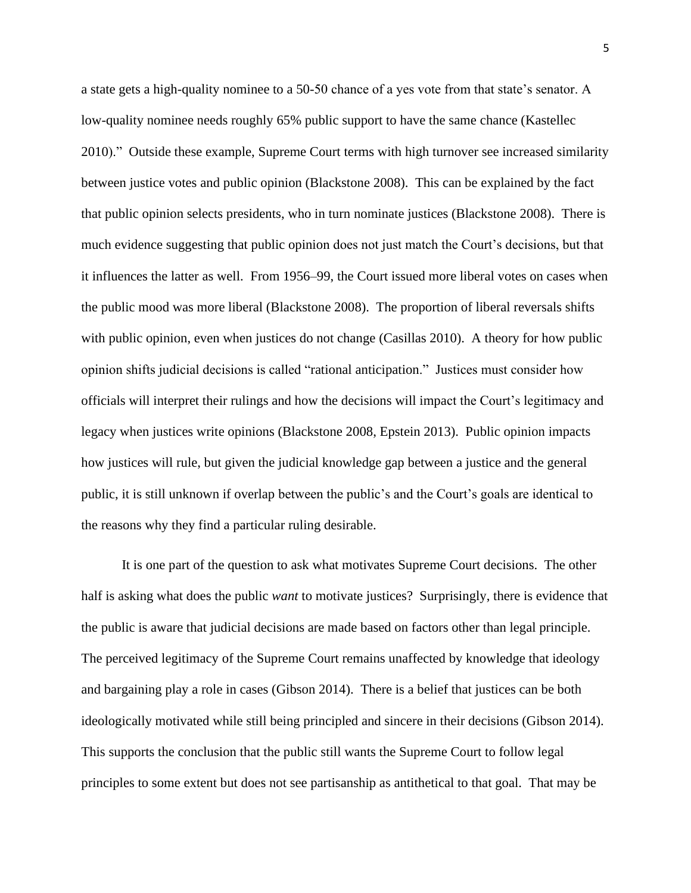a state gets a high-quality nominee to a 50-50 chance of a yes vote from that state's senator. A low-quality nominee needs roughly 65% public support to have the same chance (Kastellec 2010)." Outside these example, Supreme Court terms with high turnover see increased similarity between justice votes and public opinion (Blackstone 2008). This can be explained by the fact that public opinion selects presidents, who in turn nominate justices (Blackstone 2008). There is much evidence suggesting that public opinion does not just match the Court's decisions, but that it influences the latter as well. From 1956–99, the Court issued more liberal votes on cases when the public mood was more liberal (Blackstone 2008). The proportion of liberal reversals shifts with public opinion, even when justices do not change (Casillas 2010). A theory for how public opinion shifts judicial decisions is called "rational anticipation." Justices must consider how officials will interpret their rulings and how the decisions will impact the Court's legitimacy and legacy when justices write opinions (Blackstone 2008, Epstein 2013). Public opinion impacts how justices will rule, but given the judicial knowledge gap between a justice and the general public, it is still unknown if overlap between the public's and the Court's goals are identical to the reasons why they find a particular ruling desirable.

It is one part of the question to ask what motivates Supreme Court decisions. The other half is asking what does the public *want* to motivate justices? Surprisingly, there is evidence that the public is aware that judicial decisions are made based on factors other than legal principle. The perceived legitimacy of the Supreme Court remains unaffected by knowledge that ideology and bargaining play a role in cases (Gibson 2014). There is a belief that justices can be both ideologically motivated while still being principled and sincere in their decisions (Gibson 2014). This supports the conclusion that the public still wants the Supreme Court to follow legal principles to some extent but does not see partisanship as antithetical to that goal. That may be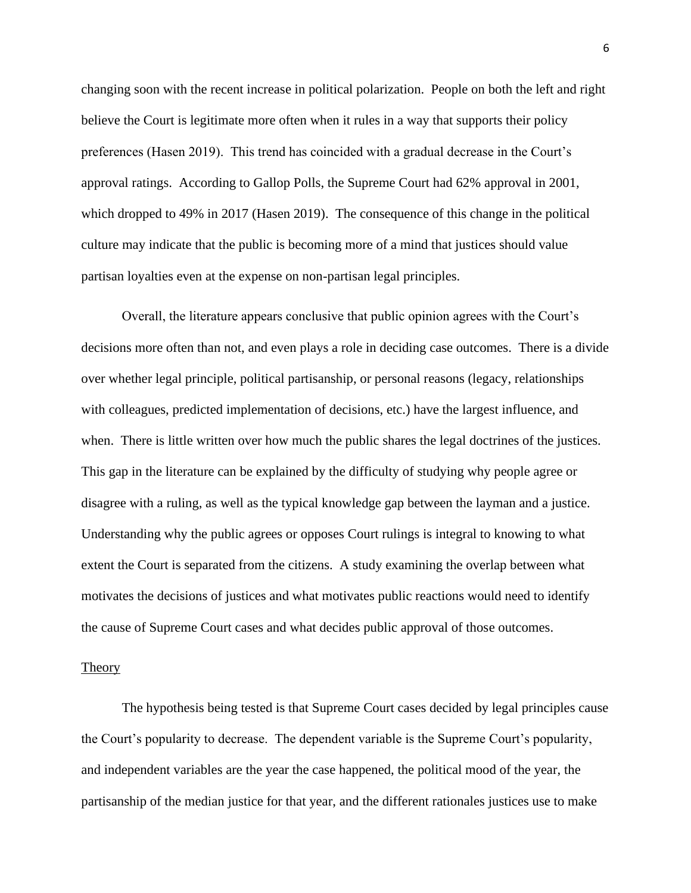changing soon with the recent increase in political polarization. People on both the left and right believe the Court is legitimate more often when it rules in a way that supports their policy preferences (Hasen 2019). This trend has coincided with a gradual decrease in the Court's approval ratings. According to Gallop Polls, the Supreme Court had 62% approval in 2001, which dropped to 49% in 2017 (Hasen 2019). The consequence of this change in the political culture may indicate that the public is becoming more of a mind that justices should value partisan loyalties even at the expense on non-partisan legal principles.

Overall, the literature appears conclusive that public opinion agrees with the Court's decisions more often than not, and even plays a role in deciding case outcomes. There is a divide over whether legal principle, political partisanship, or personal reasons (legacy, relationships with colleagues, predicted implementation of decisions, etc.) have the largest influence, and when. There is little written over how much the public shares the legal doctrines of the justices. This gap in the literature can be explained by the difficulty of studying why people agree or disagree with a ruling, as well as the typical knowledge gap between the layman and a justice. Understanding why the public agrees or opposes Court rulings is integral to knowing to what extent the Court is separated from the citizens. A study examining the overlap between what motivates the decisions of justices and what motivates public reactions would need to identify the cause of Supreme Court cases and what decides public approval of those outcomes.

#### **Theory**

The hypothesis being tested is that Supreme Court cases decided by legal principles cause the Court's popularity to decrease. The dependent variable is the Supreme Court's popularity, and independent variables are the year the case happened, the political mood of the year, the partisanship of the median justice for that year, and the different rationales justices use to make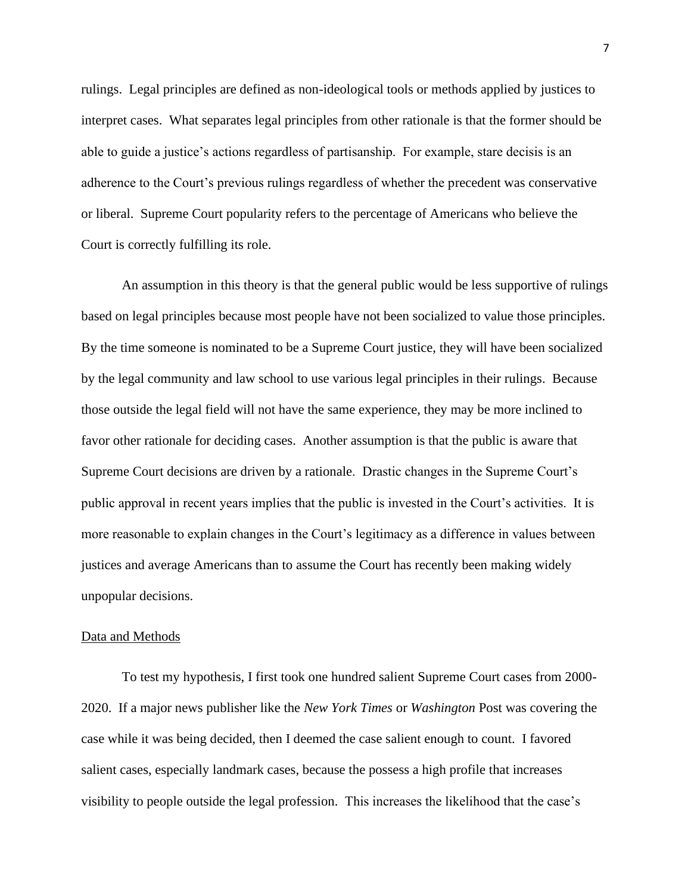rulings. Legal principles are defined as non-ideological tools or methods applied by justices to interpret cases. What separates legal principles from other rationale is that the former should be able to guide a justice's actions regardless of partisanship. For example, stare decisis is an adherence to the Court's previous rulings regardless of whether the precedent was conservative or liberal. Supreme Court popularity refers to the percentage of Americans who believe the Court is correctly fulfilling its role.

An assumption in this theory is that the general public would be less supportive of rulings based on legal principles because most people have not been socialized to value those principles. By the time someone is nominated to be a Supreme Court justice, they will have been socialized by the legal community and law school to use various legal principles in their rulings. Because those outside the legal field will not have the same experience, they may be more inclined to favor other rationale for deciding cases. Another assumption is that the public is aware that Supreme Court decisions are driven by a rationale. Drastic changes in the Supreme Court's public approval in recent years implies that the public is invested in the Court's activities. It is more reasonable to explain changes in the Court's legitimacy as a difference in values between justices and average Americans than to assume the Court has recently been making widely unpopular decisions.

#### Data and Methods

To test my hypothesis, I first took one hundred salient Supreme Court cases from 2000- 2020. If a major news publisher like the *New York Times* or *Washington* Post was covering the case while it was being decided, then I deemed the case salient enough to count. I favored salient cases, especially landmark cases, because the possess a high profile that increases visibility to people outside the legal profession. This increases the likelihood that the case's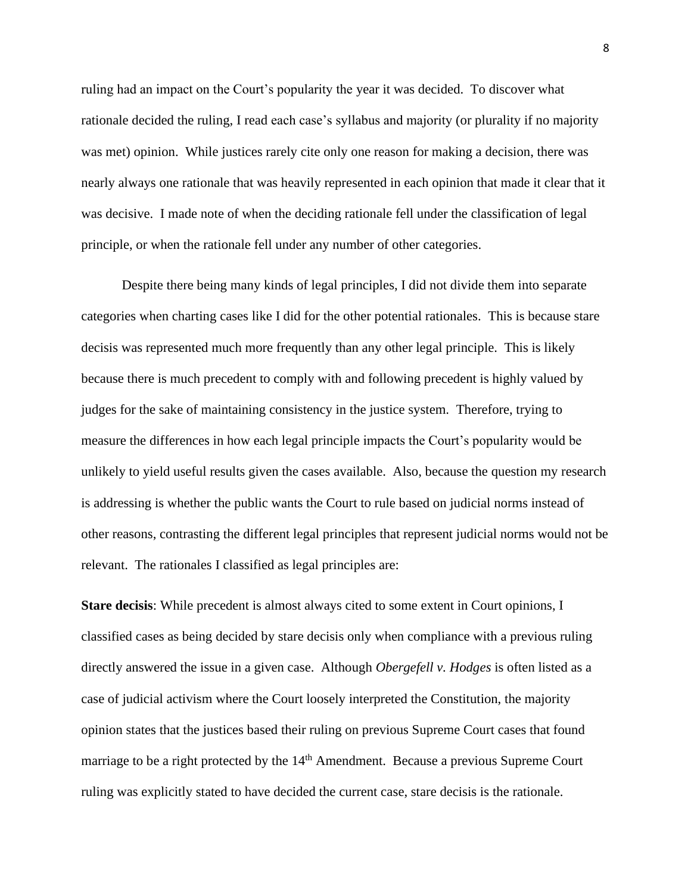ruling had an impact on the Court's popularity the year it was decided. To discover what rationale decided the ruling, I read each case's syllabus and majority (or plurality if no majority was met) opinion. While justices rarely cite only one reason for making a decision, there was nearly always one rationale that was heavily represented in each opinion that made it clear that it was decisive. I made note of when the deciding rationale fell under the classification of legal principle, or when the rationale fell under any number of other categories.

Despite there being many kinds of legal principles, I did not divide them into separate categories when charting cases like I did for the other potential rationales. This is because stare decisis was represented much more frequently than any other legal principle. This is likely because there is much precedent to comply with and following precedent is highly valued by judges for the sake of maintaining consistency in the justice system. Therefore, trying to measure the differences in how each legal principle impacts the Court's popularity would be unlikely to yield useful results given the cases available. Also, because the question my research is addressing is whether the public wants the Court to rule based on judicial norms instead of other reasons, contrasting the different legal principles that represent judicial norms would not be relevant. The rationales I classified as legal principles are:

**Stare decisis**: While precedent is almost always cited to some extent in Court opinions, I classified cases as being decided by stare decisis only when compliance with a previous ruling directly answered the issue in a given case. Although *Obergefell v. Hodges* is often listed as a case of judicial activism where the Court loosely interpreted the Constitution, the majority opinion states that the justices based their ruling on previous Supreme Court cases that found marriage to be a right protected by the 14<sup>th</sup> Amendment. Because a previous Supreme Court ruling was explicitly stated to have decided the current case, stare decisis is the rationale.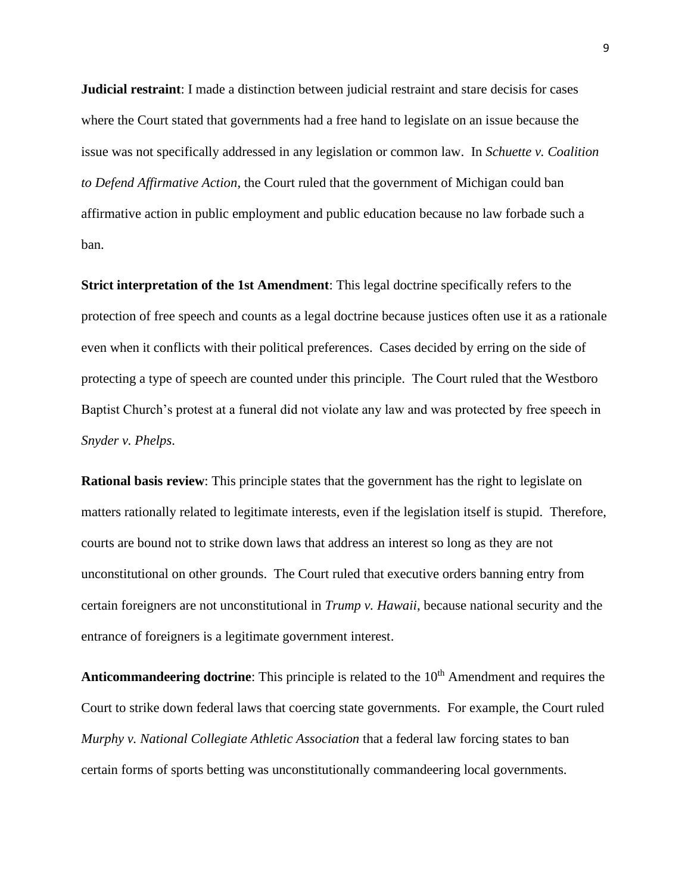**Judicial restraint**: I made a distinction between judicial restraint and stare decisis for cases where the Court stated that governments had a free hand to legislate on an issue because the issue was not specifically addressed in any legislation or common law. In *Schuette v. Coalition to Defend Affirmative Action*, the Court ruled that the government of Michigan could ban affirmative action in public employment and public education because no law forbade such a ban.

**Strict interpretation of the 1st Amendment**: This legal doctrine specifically refers to the protection of free speech and counts as a legal doctrine because justices often use it as a rationale even when it conflicts with their political preferences. Cases decided by erring on the side of protecting a type of speech are counted under this principle. The Court ruled that the Westboro Baptist Church's protest at a funeral did not violate any law and was protected by free speech in *Snyder v. Phelps*.

**Rational basis review**: This principle states that the government has the right to legislate on matters rationally related to legitimate interests, even if the legislation itself is stupid. Therefore, courts are bound not to strike down laws that address an interest so long as they are not unconstitutional on other grounds. The Court ruled that executive orders banning entry from certain foreigners are not unconstitutional in *Trump v. Hawaii*, because national security and the entrance of foreigners is a legitimate government interest.

Anticommandeering doctrine: This principle is related to the 10<sup>th</sup> Amendment and requires the Court to strike down federal laws that coercing state governments. For example, the Court ruled *Murphy v. National Collegiate Athletic Association* that a federal law forcing states to ban certain forms of sports betting was unconstitutionally commandeering local governments.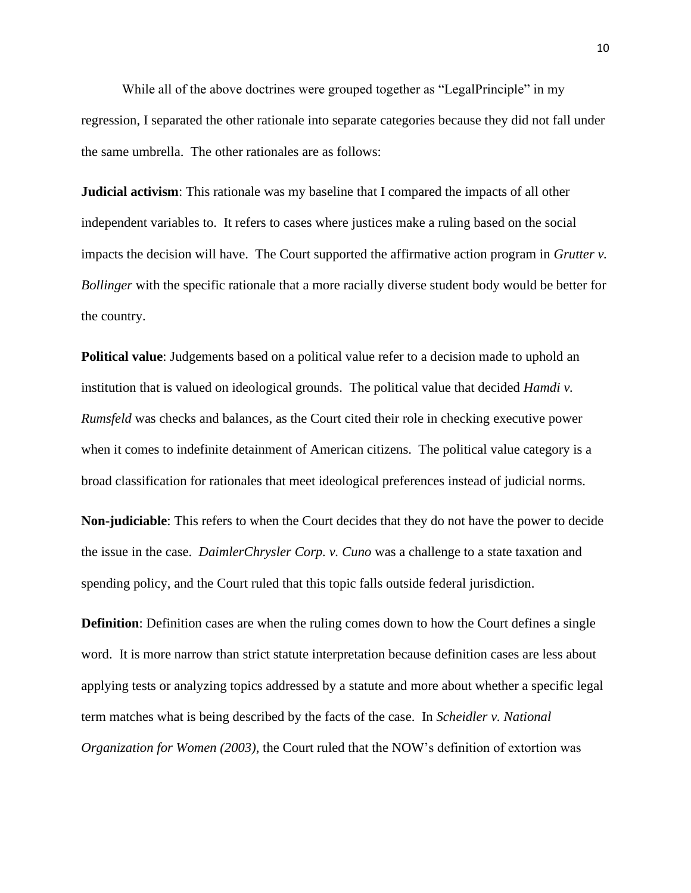While all of the above doctrines were grouped together as "LegalPrinciple" in my regression, I separated the other rationale into separate categories because they did not fall under the same umbrella. The other rationales are as follows:

**Judicial activism**: This rationale was my baseline that I compared the impacts of all other independent variables to. It refers to cases where justices make a ruling based on the social impacts the decision will have. The Court supported the affirmative action program in *Grutter v. Bollinger* with the specific rationale that a more racially diverse student body would be better for the country.

**Political value**: Judgements based on a political value refer to a decision made to uphold an institution that is valued on ideological grounds. The political value that decided *Hamdi v. Rumsfeld* was checks and balances, as the Court cited their role in checking executive power when it comes to indefinite detainment of American citizens. The political value category is a broad classification for rationales that meet ideological preferences instead of judicial norms.

**Non-judiciable**: This refers to when the Court decides that they do not have the power to decide the issue in the case. *DaimlerChrysler Corp. v. Cuno* was a challenge to a state taxation and spending policy, and the Court ruled that this topic falls outside federal jurisdiction.

**Definition**: Definition cases are when the ruling comes down to how the Court defines a single word. It is more narrow than strict statute interpretation because definition cases are less about applying tests or analyzing topics addressed by a statute and more about whether a specific legal term matches what is being described by the facts of the case. In *Scheidler v. National Organization for Women (2003)*, the Court ruled that the NOW's definition of extortion was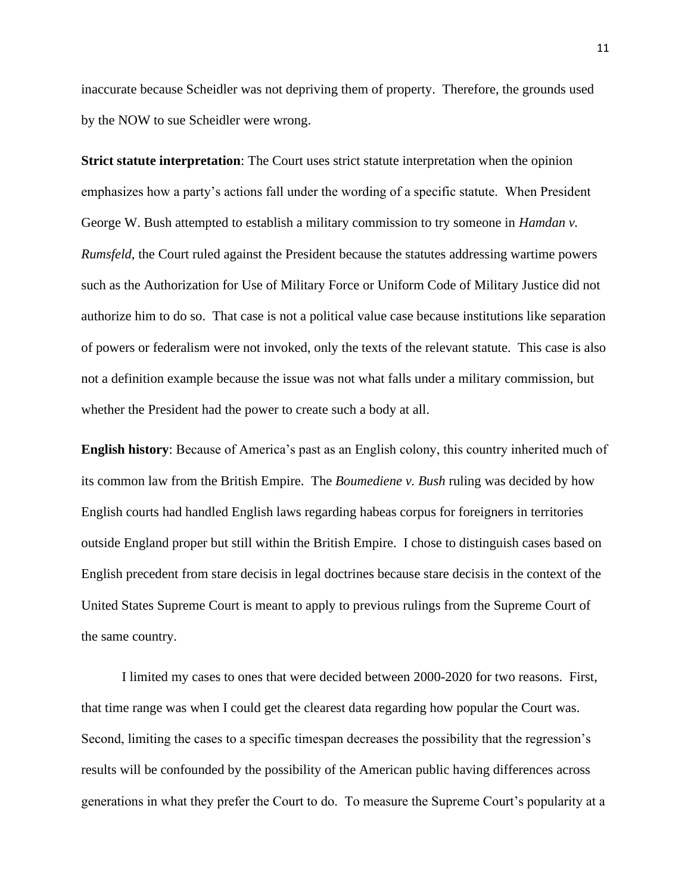inaccurate because Scheidler was not depriving them of property. Therefore, the grounds used by the NOW to sue Scheidler were wrong.

**Strict statute interpretation**: The Court uses strict statute interpretation when the opinion emphasizes how a party's actions fall under the wording of a specific statute. When President George W. Bush attempted to establish a military commission to try someone in *Hamdan v. Rumsfeld*, the Court ruled against the President because the statutes addressing wartime powers such as the Authorization for Use of Military Force or Uniform Code of Military Justice did not authorize him to do so. That case is not a political value case because institutions like separation of powers or federalism were not invoked, only the texts of the relevant statute. This case is also not a definition example because the issue was not what falls under a military commission, but whether the President had the power to create such a body at all.

**English history**: Because of America's past as an English colony, this country inherited much of its common law from the British Empire. The *Boumediene v. Bush* ruling was decided by how English courts had handled English laws regarding habeas corpus for foreigners in territories outside England proper but still within the British Empire. I chose to distinguish cases based on English precedent from stare decisis in legal doctrines because stare decisis in the context of the United States Supreme Court is meant to apply to previous rulings from the Supreme Court of the same country.

I limited my cases to ones that were decided between 2000-2020 for two reasons. First, that time range was when I could get the clearest data regarding how popular the Court was. Second, limiting the cases to a specific timespan decreases the possibility that the regression's results will be confounded by the possibility of the American public having differences across generations in what they prefer the Court to do. To measure the Supreme Court's popularity at a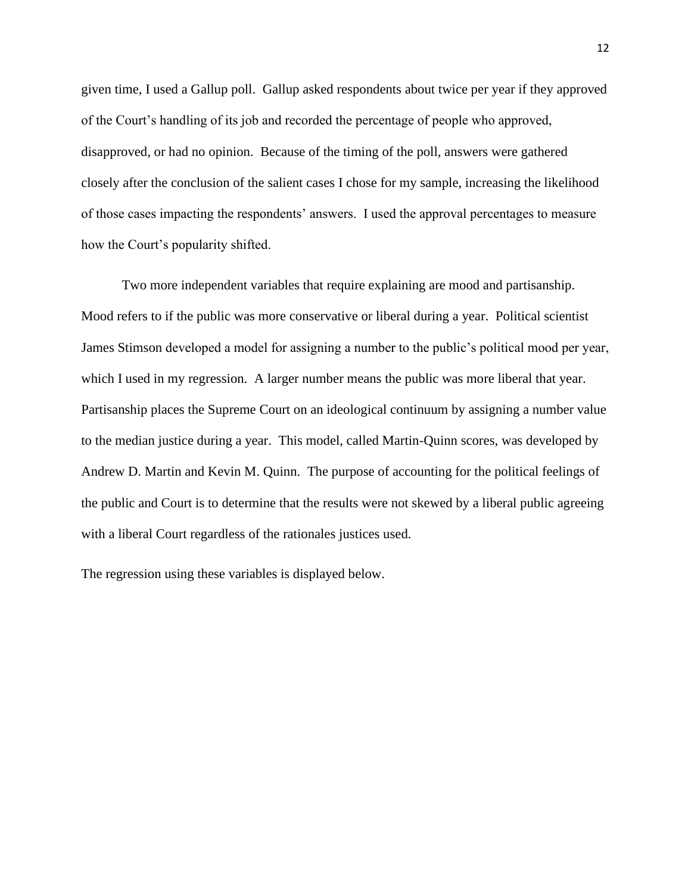given time, I used a Gallup poll. Gallup asked respondents about twice per year if they approved of the Court's handling of its job and recorded the percentage of people who approved, disapproved, or had no opinion. Because of the timing of the poll, answers were gathered closely after the conclusion of the salient cases I chose for my sample, increasing the likelihood of those cases impacting the respondents' answers. I used the approval percentages to measure how the Court's popularity shifted.

Two more independent variables that require explaining are mood and partisanship. Mood refers to if the public was more conservative or liberal during a year. Political scientist James Stimson developed a model for assigning a number to the public's political mood per year, which I used in my regression. A larger number means the public was more liberal that year. Partisanship places the Supreme Court on an ideological continuum by assigning a number value to the median justice during a year. This model, called Martin-Quinn scores, was developed by Andrew D. Martin and Kevin M. Quinn. The purpose of accounting for the political feelings of the public and Court is to determine that the results were not skewed by a liberal public agreeing with a liberal Court regardless of the rationales justices used.

The regression using these variables is displayed below.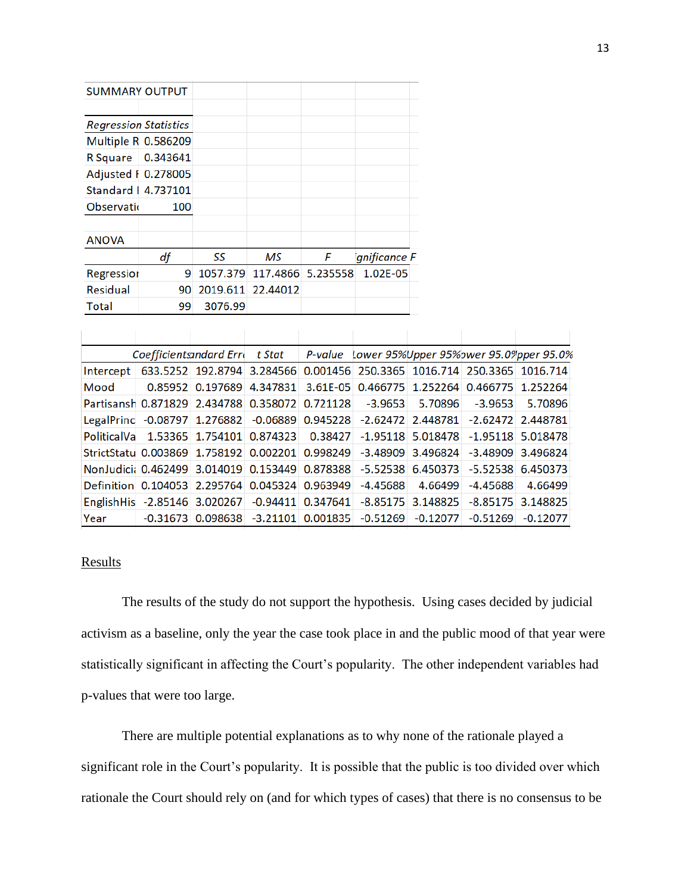| <b>SUMMARY OUTPUT</b>        |     |          |          |                   |                            |  |
|------------------------------|-----|----------|----------|-------------------|----------------------------|--|
|                              |     |          |          |                   |                            |  |
| <b>Regression Statistics</b> |     |          |          |                   |                            |  |
| Multiple R 0.586209          |     |          |          |                   |                            |  |
| R Square   0.343641          |     |          |          |                   |                            |  |
| Adjusted F 0.278005          |     |          |          |                   |                            |  |
| <b>Standard   4.737101</b>   |     |          |          |                   |                            |  |
| Observatio                   | 100 |          |          |                   |                            |  |
|                              |     |          |          |                   |                            |  |
| <b>ANOVA</b>                 |     |          |          |                   |                            |  |
|                              | df  | SS       | MS       | F                 | <i><b>gnificance F</b></i> |  |
| Regressior                   | 9   | 1057.379 |          | 117.4866 5.235558 | 1.02E-05                   |  |
| Residual                     | 90  | 2019.611 | 22.44012 |                   |                            |  |
| Total                        | 99  | 3076.99  |          |                   |                            |  |

|           |  |  |                                                                                     |  | Coefficientsandard Erri t Stat P-value Lower 95%Upper 95%ower 95.09/pper 95.0% |
|-----------|--|--|-------------------------------------------------------------------------------------|--|--------------------------------------------------------------------------------|
| Intercept |  |  | 633.5252 192.8794 3.284566 0.001456 250.3365 1016.714 250.3365 1016.714             |  |                                                                                |
|           |  |  | Mood 0.85952 0.197689 4.347831 3.61E-05 0.466775 1.252264 0.466775 1.252264         |  |                                                                                |
|           |  |  | Partisansh 0.871829 2.434788 0.358072 0.721128 -3.9653 5.70896 -3.9653              |  | 5.70896                                                                        |
|           |  |  | LegalPrinc -0.08797 1.276882 -0.06889 0.945228 -2.62472 2.448781 -2.62472 2.448781  |  |                                                                                |
|           |  |  | PoliticalVa 1.53365 1.754101 0.874323 0.38427 -1.95118 5.018478 -1.95118 5.018478   |  |                                                                                |
|           |  |  | StrictStatu 0.003869 1.758192 0.002201 0.998249 -3.48909 3.496824 -3.48909 3.496824 |  |                                                                                |
|           |  |  | NonJudici: 0.462499 3.014019 0.153449 0.878388 -5.52538 6.450373 -5.52538 6.450373  |  |                                                                                |
|           |  |  | Definition 0.104053 2.295764 0.045324 0.963949 -4.45688 4.66499 -4.45688            |  | 4.66499                                                                        |
|           |  |  | EnglishHis -2.85146 3.020267 -0.94411 0.347641 -8.85175 3.148825 -8.85175 3.148825  |  |                                                                                |
|           |  |  | Year   -0.31673 0.098638 -3.21101 0.001835 -0.51269 -0.12077 -0.51269               |  | $-0.12077$                                                                     |

#### **Results**

 $\mathbb{R}^{\mathbb{Z}}$ 

The results of the study do not support the hypothesis. Using cases decided by judicial activism as a baseline, only the year the case took place in and the public mood of that year were statistically significant in affecting the Court's popularity. The other independent variables had p-values that were too large.

There are multiple potential explanations as to why none of the rationale played a significant role in the Court's popularity. It is possible that the public is too divided over which rationale the Court should rely on (and for which types of cases) that there is no consensus to be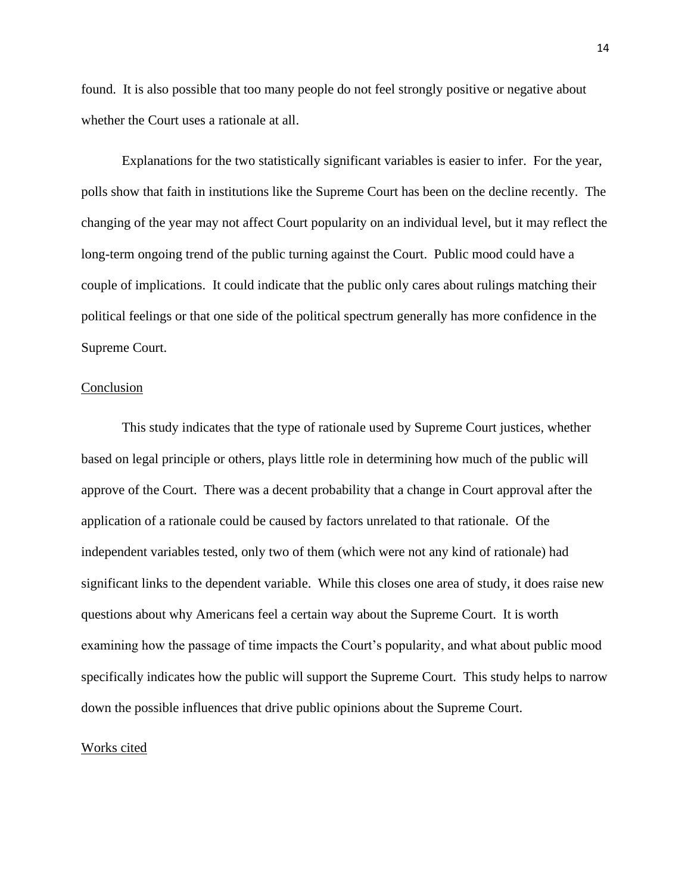found. It is also possible that too many people do not feel strongly positive or negative about whether the Court uses a rationale at all.

Explanations for the two statistically significant variables is easier to infer. For the year, polls show that faith in institutions like the Supreme Court has been on the decline recently. The changing of the year may not affect Court popularity on an individual level, but it may reflect the long-term ongoing trend of the public turning against the Court. Public mood could have a couple of implications. It could indicate that the public only cares about rulings matching their political feelings or that one side of the political spectrum generally has more confidence in the Supreme Court.

#### Conclusion

This study indicates that the type of rationale used by Supreme Court justices, whether based on legal principle or others, plays little role in determining how much of the public will approve of the Court. There was a decent probability that a change in Court approval after the application of a rationale could be caused by factors unrelated to that rationale. Of the independent variables tested, only two of them (which were not any kind of rationale) had significant links to the dependent variable. While this closes one area of study, it does raise new questions about why Americans feel a certain way about the Supreme Court. It is worth examining how the passage of time impacts the Court's popularity, and what about public mood specifically indicates how the public will support the Supreme Court. This study helps to narrow down the possible influences that drive public opinions about the Supreme Court.

#### Works cited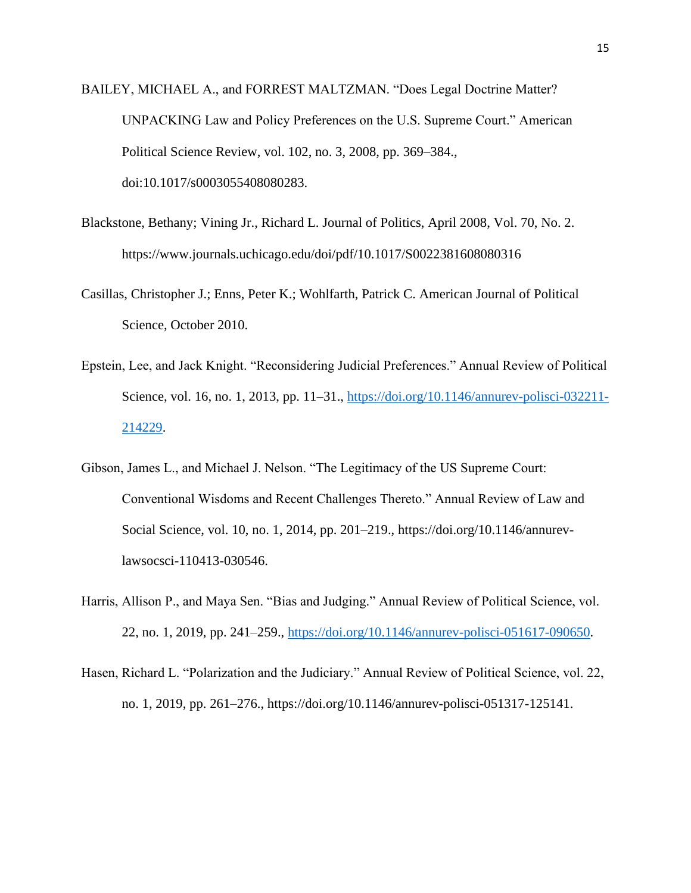BAILEY, MICHAEL A., and FORREST MALTZMAN. "Does Legal Doctrine Matter? UNPACKING Law and Policy Preferences on the U.S. Supreme Court." American Political Science Review, vol. 102, no. 3, 2008, pp. 369–384., doi:10.1017/s0003055408080283.

- Blackstone, Bethany; Vining Jr., Richard L. Journal of Politics, April 2008, Vol. 70, No. 2. https://www.journals.uchicago.edu/doi/pdf/10.1017/S0022381608080316
- Casillas, Christopher J.; Enns, Peter K.; Wohlfarth, Patrick C. American Journal of Political Science, October 2010.
- Epstein, Lee, and Jack Knight. "Reconsidering Judicial Preferences." Annual Review of Political Science, vol. 16, no. 1, 2013, pp. 11–31., [https://doi.org/10.1146/annurev-polisci-032211-](https://doi.org/10.1146/annurev-polisci-032211-214229) [214229.](https://doi.org/10.1146/annurev-polisci-032211-214229)
- Gibson, James L., and Michael J. Nelson. "The Legitimacy of the US Supreme Court: Conventional Wisdoms and Recent Challenges Thereto." Annual Review of Law and Social Science, vol. 10, no. 1, 2014, pp. 201–219., https://doi.org/10.1146/annurevlawsocsci-110413-030546.
- Harris, Allison P., and Maya Sen. "Bias and Judging." Annual Review of Political Science, vol. 22, no. 1, 2019, pp. 241–259., [https://doi.org/10.1146/annurev-polisci-051617-090650.](https://doi.org/10.1146/annurev-polisci-051617-090650)
- Hasen, Richard L. "Polarization and the Judiciary." Annual Review of Political Science, vol. 22, no. 1, 2019, pp. 261–276., https://doi.org/10.1146/annurev-polisci-051317-125141.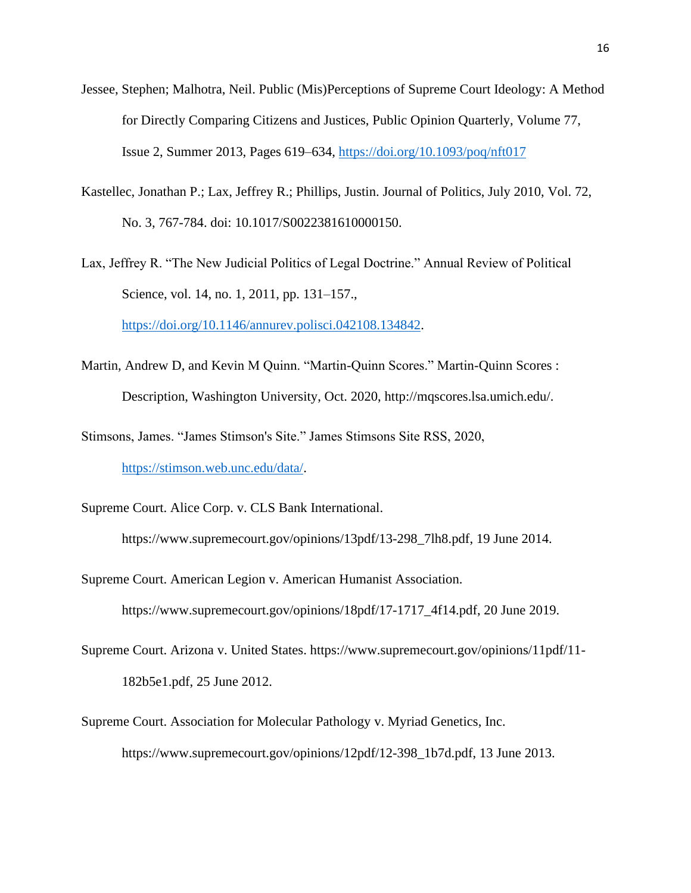- Jessee, Stephen; Malhotra, Neil. Public (Mis)Perceptions of Supreme Court Ideology: A Method for Directly Comparing Citizens and Justices, Public Opinion Quarterly, Volume 77, Issue 2, Summer 2013, Pages 619–634,<https://doi.org/10.1093/poq/nft017>
- Kastellec, Jonathan P.; Lax, Jeffrey R.; Phillips, Justin. Journal of Politics, July 2010, Vol. 72, No. 3, 767-784. doi: 10.1017/S0022381610000150.
- Lax, Jeffrey R. "The New Judicial Politics of Legal Doctrine." Annual Review of Political Science, vol. 14, no. 1, 2011, pp. 131–157.,

[https://doi.org/10.1146/annurev.polisci.042108.134842.](https://doi.org/10.1146/annurev.polisci.042108.134842)

- Martin, Andrew D, and Kevin M Quinn. "Martin-Quinn Scores." Martin-Quinn Scores : Description, Washington University, Oct. 2020, http://mqscores.lsa.umich.edu/.
- Stimsons, James. "James Stimson's Site." James Stimsons Site RSS, 2020, [https://stimson.web.unc.edu/data/.](https://stimson.web.unc.edu/data/)

Supreme Court. Alice Corp. v. CLS Bank International.

https://www.supremecourt.gov/opinions/13pdf/13-298\_7lh8.pdf, 19 June 2014.

- Supreme Court. American Legion v. American Humanist Association. https://www.supremecourt.gov/opinions/18pdf/17-1717\_4f14.pdf, 20 June 2019.
- Supreme Court. Arizona v. United States. https://www.supremecourt.gov/opinions/11pdf/11- 182b5e1.pdf, 25 June 2012.
- Supreme Court. Association for Molecular Pathology v. Myriad Genetics, Inc. https://www.supremecourt.gov/opinions/12pdf/12-398\_1b7d.pdf, 13 June 2013.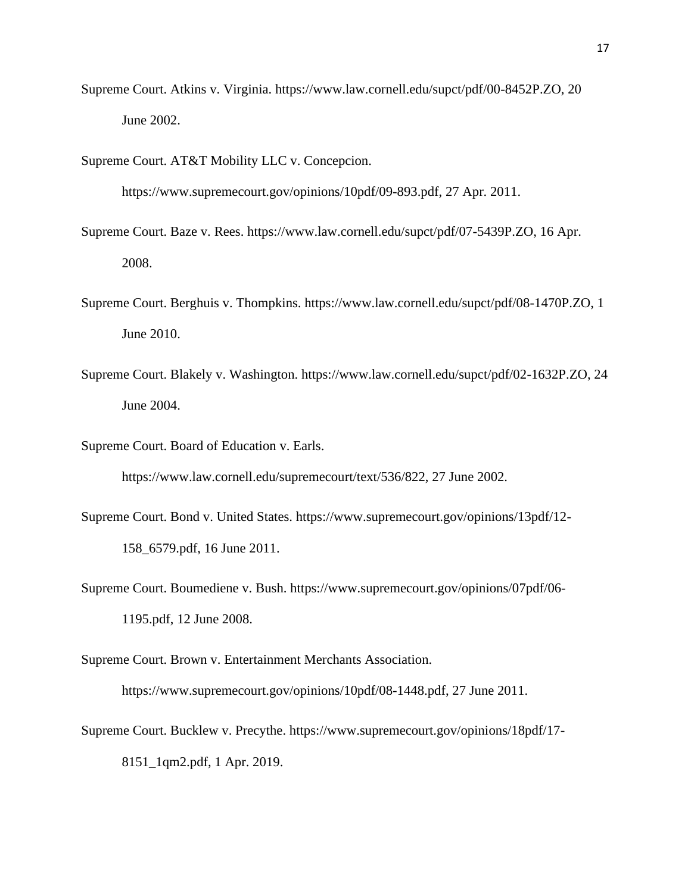- Supreme Court. Atkins v. Virginia. https://www.law.cornell.edu/supct/pdf/00-8452P.ZO, 20 June 2002.
- Supreme Court. AT&T Mobility LLC v. Concepcion.

https://www.supremecourt.gov/opinions/10pdf/09-893.pdf, 27 Apr. 2011.

Supreme Court. Baze v. Rees. https://www.law.cornell.edu/supct/pdf/07-5439P.ZO, 16 Apr. 2008.

- Supreme Court. Berghuis v. Thompkins. https://www.law.cornell.edu/supct/pdf/08-1470P.ZO, 1 June 2010.
- Supreme Court. Blakely v. Washington. https://www.law.cornell.edu/supct/pdf/02-1632P.ZO, 24 June 2004.
- Supreme Court. Board of Education v. Earls.

https://www.law.cornell.edu/supremecourt/text/536/822, 27 June 2002.

- Supreme Court. Bond v. United States. https://www.supremecourt.gov/opinions/13pdf/12- 158\_6579.pdf, 16 June 2011.
- Supreme Court. Boumediene v. Bush. https://www.supremecourt.gov/opinions/07pdf/06- 1195.pdf, 12 June 2008.
- Supreme Court. Brown v. Entertainment Merchants Association. https://www.supremecourt.gov/opinions/10pdf/08-1448.pdf, 27 June 2011.
- Supreme Court. Bucklew v. Precythe. https://www.supremecourt.gov/opinions/18pdf/17- 8151\_1qm2.pdf, 1 Apr. 2019.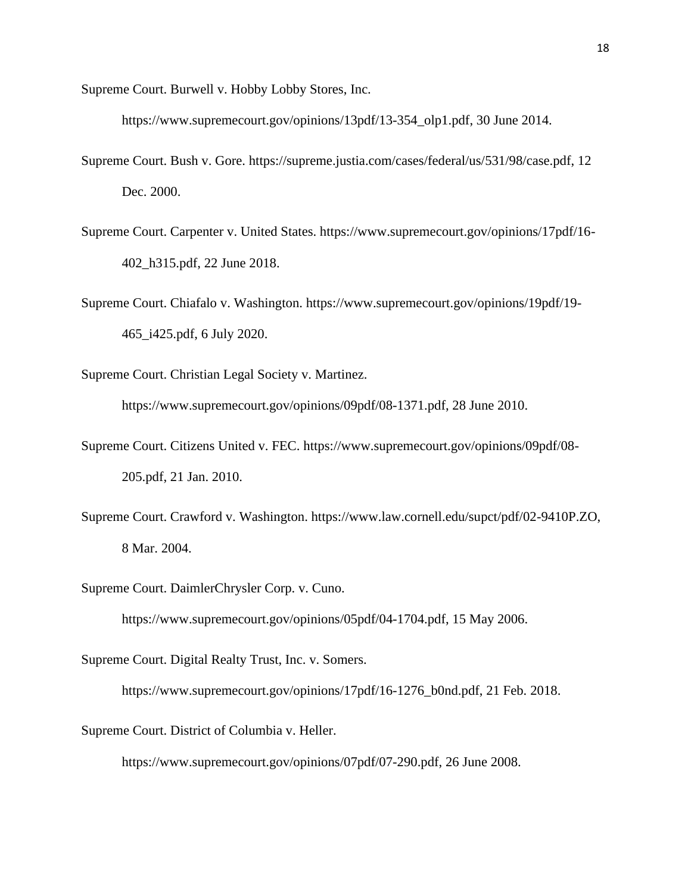Supreme Court. Burwell v. Hobby Lobby Stores, Inc.

https://www.supremecourt.gov/opinions/13pdf/13-354\_olp1.pdf, 30 June 2014.

- Supreme Court. Bush v. Gore. https://supreme.justia.com/cases/federal/us/531/98/case.pdf, 12 Dec. 2000.
- Supreme Court. Carpenter v. United States. https://www.supremecourt.gov/opinions/17pdf/16- 402\_h315.pdf, 22 June 2018.
- Supreme Court. Chiafalo v. Washington. https://www.supremecourt.gov/opinions/19pdf/19- 465\_i425.pdf, 6 July 2020.
- Supreme Court. Christian Legal Society v. Martinez.

https://www.supremecourt.gov/opinions/09pdf/08-1371.pdf, 28 June 2010.

- Supreme Court. Citizens United v. FEC. https://www.supremecourt.gov/opinions/09pdf/08- 205.pdf, 21 Jan. 2010.
- Supreme Court. Crawford v. Washington. https://www.law.cornell.edu/supct/pdf/02-9410P.ZO, 8 Mar. 2004.
- Supreme Court. DaimlerChrysler Corp. v. Cuno. https://www.supremecourt.gov/opinions/05pdf/04-1704.pdf, 15 May 2006.

Supreme Court. Digital Realty Trust, Inc. v. Somers.

https://www.supremecourt.gov/opinions/17pdf/16-1276\_b0nd.pdf, 21 Feb. 2018.

Supreme Court. District of Columbia v. Heller.

https://www.supremecourt.gov/opinions/07pdf/07-290.pdf, 26 June 2008.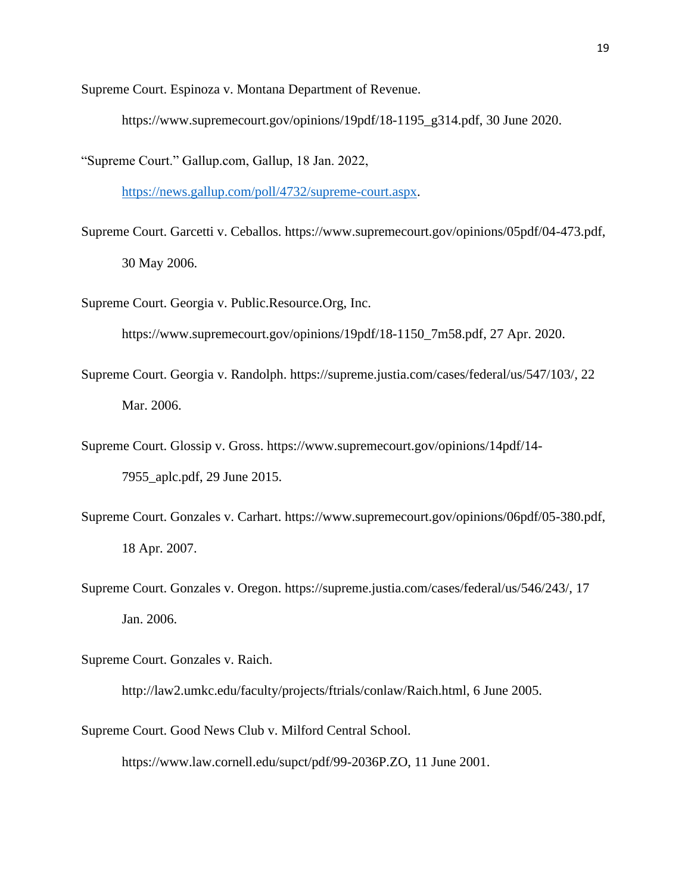Supreme Court. Espinoza v. Montana Department of Revenue.

https://www.supremecourt.gov/opinions/19pdf/18-1195\_g314.pdf, 30 June 2020.

"Supreme Court." Gallup.com, Gallup, 18 Jan. 2022,

[https://news.gallup.com/poll/4732/supreme-court.aspx.](https://news.gallup.com/poll/4732/supreme-court.aspx)

- Supreme Court. Garcetti v. Ceballos. https://www.supremecourt.gov/opinions/05pdf/04-473.pdf, 30 May 2006.
- Supreme Court. Georgia v. Public.Resource.Org, Inc.

https://www.supremecourt.gov/opinions/19pdf/18-1150\_7m58.pdf, 27 Apr. 2020.

- Supreme Court. Georgia v. Randolph. https://supreme.justia.com/cases/federal/us/547/103/, 22 Mar. 2006.
- Supreme Court. Glossip v. Gross. https://www.supremecourt.gov/opinions/14pdf/14- 7955\_aplc.pdf, 29 June 2015.
- Supreme Court. Gonzales v. Carhart. https://www.supremecourt.gov/opinions/06pdf/05-380.pdf, 18 Apr. 2007.
- Supreme Court. Gonzales v. Oregon. https://supreme.justia.com/cases/federal/us/546/243/, 17 Jan. 2006.
- Supreme Court. Gonzales v. Raich.

http://law2.umkc.edu/faculty/projects/ftrials/conlaw/Raich.html, 6 June 2005.

Supreme Court. Good News Club v. Milford Central School.

https://www.law.cornell.edu/supct/pdf/99-2036P.ZO, 11 June 2001.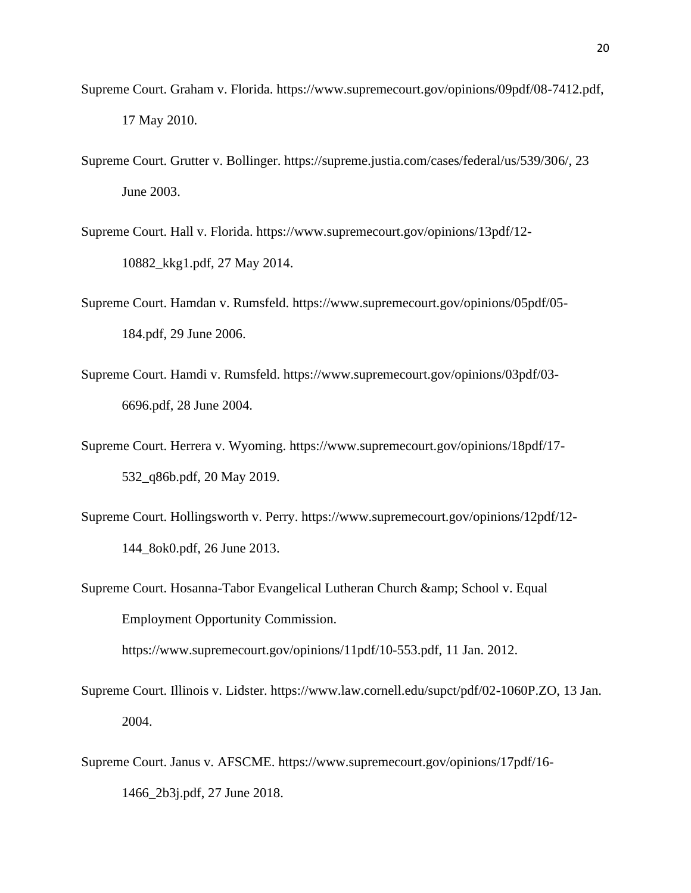- Supreme Court. Graham v. Florida. https://www.supremecourt.gov/opinions/09pdf/08-7412.pdf, 17 May 2010.
- Supreme Court. Grutter v. Bollinger. https://supreme.justia.com/cases/federal/us/539/306/, 23 June 2003.
- Supreme Court. Hall v. Florida. https://www.supremecourt.gov/opinions/13pdf/12- 10882\_kkg1.pdf, 27 May 2014.
- Supreme Court. Hamdan v. Rumsfeld. https://www.supremecourt.gov/opinions/05pdf/05- 184.pdf, 29 June 2006.
- Supreme Court. Hamdi v. Rumsfeld. https://www.supremecourt.gov/opinions/03pdf/03- 6696.pdf, 28 June 2004.
- Supreme Court. Herrera v. Wyoming. https://www.supremecourt.gov/opinions/18pdf/17- 532\_q86b.pdf, 20 May 2019.
- Supreme Court. Hollingsworth v. Perry. https://www.supremecourt.gov/opinions/12pdf/12- 144\_8ok0.pdf, 26 June 2013.
- Supreme Court. Hosanna-Tabor Evangelical Lutheran Church & amp; School v. Equal Employment Opportunity Commission. https://www.supremecourt.gov/opinions/11pdf/10-553.pdf, 11 Jan. 2012.
- Supreme Court. Illinois v. Lidster. https://www.law.cornell.edu/supct/pdf/02-1060P.ZO, 13 Jan. 2004.
- Supreme Court. Janus v. AFSCME. https://www.supremecourt.gov/opinions/17pdf/16- 1466\_2b3j.pdf, 27 June 2018.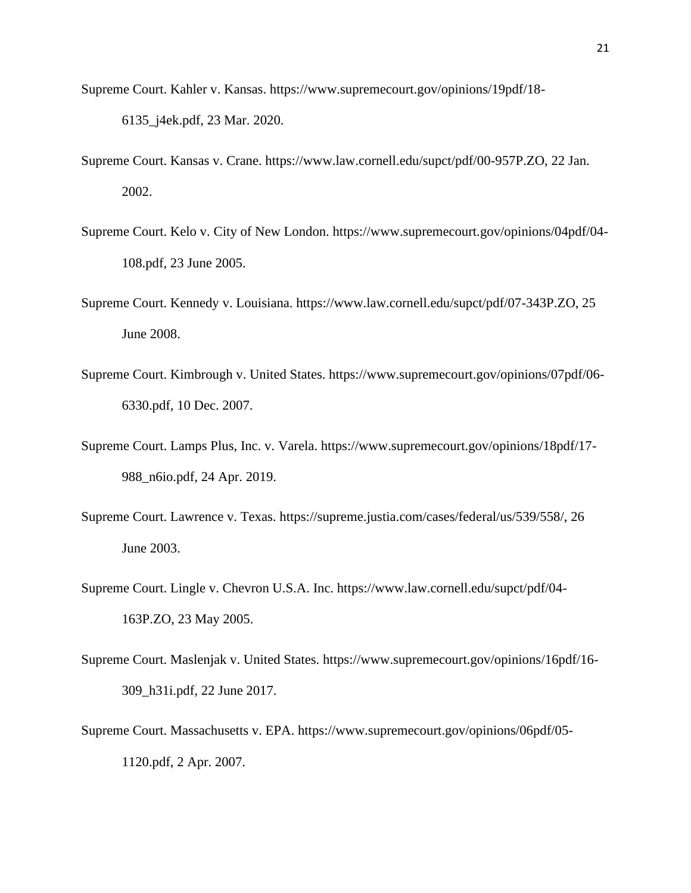- Supreme Court. Kahler v. Kansas. https://www.supremecourt.gov/opinions/19pdf/18- 6135\_j4ek.pdf, 23 Mar. 2020.
- Supreme Court. Kansas v. Crane. https://www.law.cornell.edu/supct/pdf/00-957P.ZO, 22 Jan. 2002.
- Supreme Court. Kelo v. City of New London. https://www.supremecourt.gov/opinions/04pdf/04- 108.pdf, 23 June 2005.
- Supreme Court. Kennedy v. Louisiana. https://www.law.cornell.edu/supct/pdf/07-343P.ZO, 25 June 2008.
- Supreme Court. Kimbrough v. United States. https://www.supremecourt.gov/opinions/07pdf/06- 6330.pdf, 10 Dec. 2007.
- Supreme Court. Lamps Plus, Inc. v. Varela. https://www.supremecourt.gov/opinions/18pdf/17- 988\_n6io.pdf, 24 Apr. 2019.
- Supreme Court. Lawrence v. Texas. https://supreme.justia.com/cases/federal/us/539/558/, 26 June 2003.
- Supreme Court. Lingle v. Chevron U.S.A. Inc. https://www.law.cornell.edu/supct/pdf/04- 163P.ZO, 23 May 2005.
- Supreme Court. Maslenjak v. United States. https://www.supremecourt.gov/opinions/16pdf/16- 309\_h31i.pdf, 22 June 2017.
- Supreme Court. Massachusetts v. EPA. https://www.supremecourt.gov/opinions/06pdf/05- 1120.pdf, 2 Apr. 2007.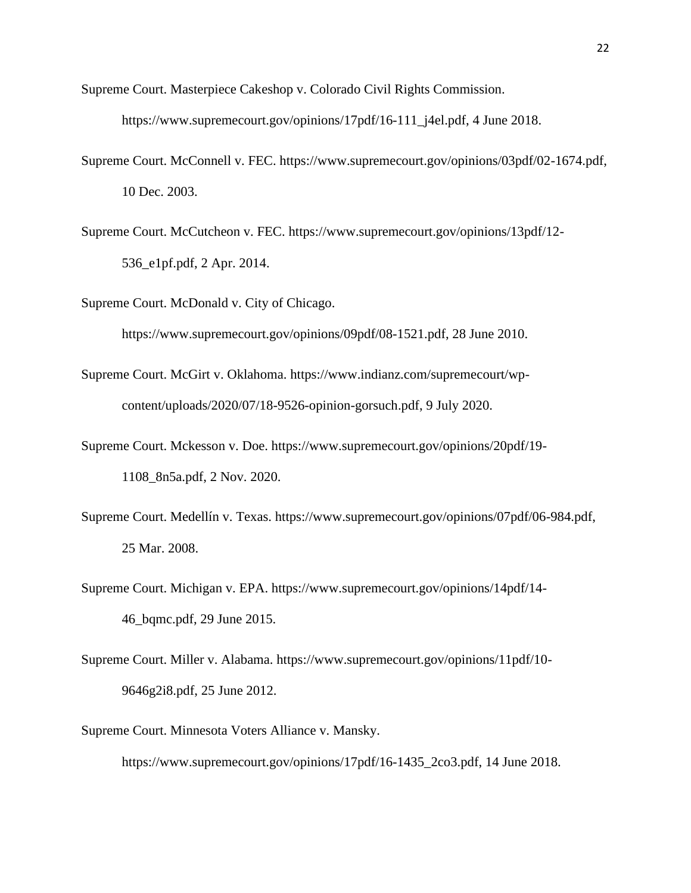- Supreme Court. Masterpiece Cakeshop v. Colorado Civil Rights Commission. https://www.supremecourt.gov/opinions/17pdf/16-111\_j4el.pdf, 4 June 2018.
- Supreme Court. McConnell v. FEC. https://www.supremecourt.gov/opinions/03pdf/02-1674.pdf, 10 Dec. 2003.
- Supreme Court. McCutcheon v. FEC. https://www.supremecourt.gov/opinions/13pdf/12- 536\_e1pf.pdf, 2 Apr. 2014.
- Supreme Court. McDonald v. City of Chicago.

https://www.supremecourt.gov/opinions/09pdf/08-1521.pdf, 28 June 2010.

- Supreme Court. McGirt v. Oklahoma. https://www.indianz.com/supremecourt/wpcontent/uploads/2020/07/18-9526-opinion-gorsuch.pdf, 9 July 2020.
- Supreme Court. Mckesson v. Doe. https://www.supremecourt.gov/opinions/20pdf/19- 1108\_8n5a.pdf, 2 Nov. 2020.
- Supreme Court. Medellín v. Texas. https://www.supremecourt.gov/opinions/07pdf/06-984.pdf, 25 Mar. 2008.
- Supreme Court. Michigan v. EPA. https://www.supremecourt.gov/opinions/14pdf/14- 46\_bqmc.pdf, 29 June 2015.
- Supreme Court. Miller v. Alabama. https://www.supremecourt.gov/opinions/11pdf/10- 9646g2i8.pdf, 25 June 2012.
- Supreme Court. Minnesota Voters Alliance v. Mansky. https://www.supremecourt.gov/opinions/17pdf/16-1435\_2co3.pdf, 14 June 2018.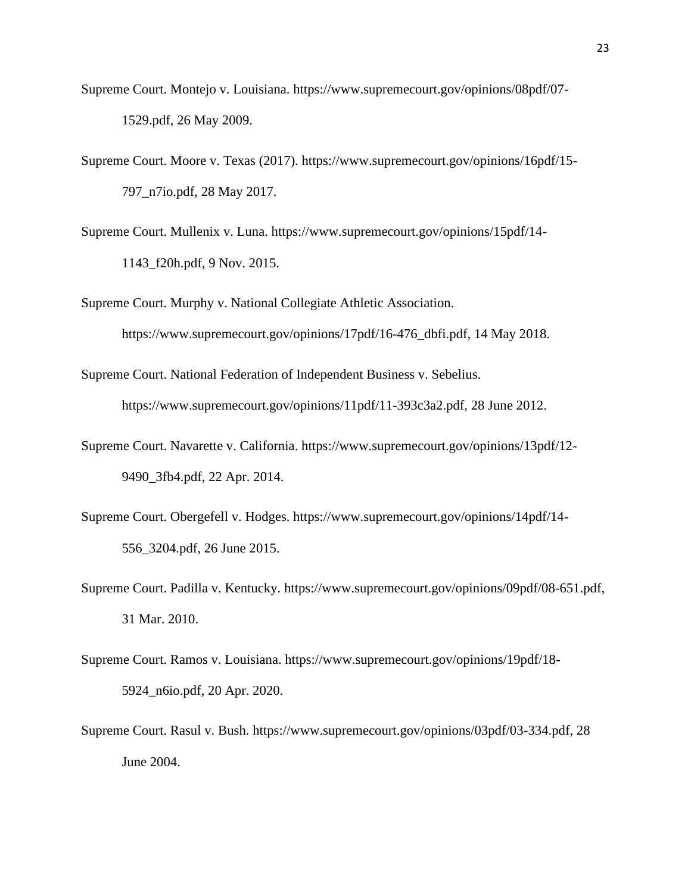- Supreme Court. Montejo v. Louisiana. https://www.supremecourt.gov/opinions/08pdf/07- 1529.pdf, 26 May 2009.
- Supreme Court. Moore v. Texas (2017). https://www.supremecourt.gov/opinions/16pdf/15- 797\_n7io.pdf, 28 May 2017.
- Supreme Court. Mullenix v. Luna. https://www.supremecourt.gov/opinions/15pdf/14- 1143\_f20h.pdf, 9 Nov. 2015.
- Supreme Court. Murphy v. National Collegiate Athletic Association. https://www.supremecourt.gov/opinions/17pdf/16-476\_dbfi.pdf, 14 May 2018.
- Supreme Court. National Federation of Independent Business v. Sebelius. https://www.supremecourt.gov/opinions/11pdf/11-393c3a2.pdf, 28 June 2012.
- Supreme Court. Navarette v. California. https://www.supremecourt.gov/opinions/13pdf/12- 9490\_3fb4.pdf, 22 Apr. 2014.
- Supreme Court. Obergefell v. Hodges. https://www.supremecourt.gov/opinions/14pdf/14- 556\_3204.pdf, 26 June 2015.
- Supreme Court. Padilla v. Kentucky. https://www.supremecourt.gov/opinions/09pdf/08-651.pdf, 31 Mar. 2010.
- Supreme Court. Ramos v. Louisiana. https://www.supremecourt.gov/opinions/19pdf/18- 5924\_n6io.pdf, 20 Apr. 2020.
- Supreme Court. Rasul v. Bush. https://www.supremecourt.gov/opinions/03pdf/03-334.pdf, 28 June 2004.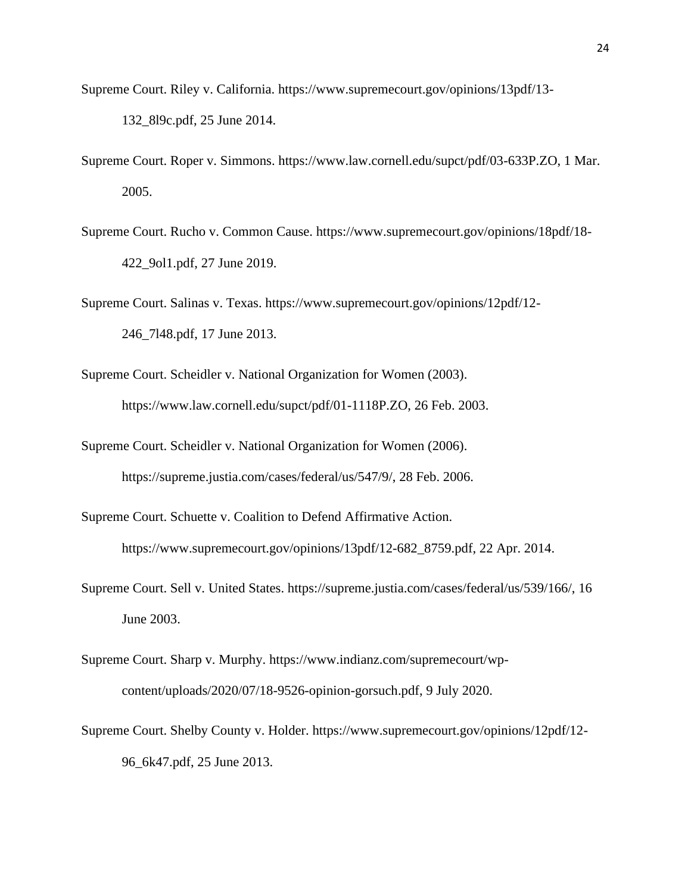- Supreme Court. Riley v. California. https://www.supremecourt.gov/opinions/13pdf/13- 132\_8l9c.pdf, 25 June 2014.
- Supreme Court. Roper v. Simmons. https://www.law.cornell.edu/supct/pdf/03-633P.ZO, 1 Mar. 2005.
- Supreme Court. Rucho v. Common Cause. https://www.supremecourt.gov/opinions/18pdf/18- 422\_9ol1.pdf, 27 June 2019.
- Supreme Court. Salinas v. Texas. https://www.supremecourt.gov/opinions/12pdf/12- 246\_7l48.pdf, 17 June 2013.
- Supreme Court. Scheidler v. National Organization for Women (2003). https://www.law.cornell.edu/supct/pdf/01-1118P.ZO, 26 Feb. 2003.
- Supreme Court. Scheidler v. National Organization for Women (2006). https://supreme.justia.com/cases/federal/us/547/9/, 28 Feb. 2006.
- Supreme Court. Schuette v. Coalition to Defend Affirmative Action. https://www.supremecourt.gov/opinions/13pdf/12-682\_8759.pdf, 22 Apr. 2014.
- Supreme Court. Sell v. United States. https://supreme.justia.com/cases/federal/us/539/166/, 16 June 2003.
- Supreme Court. Sharp v. Murphy. https://www.indianz.com/supremecourt/wpcontent/uploads/2020/07/18-9526-opinion-gorsuch.pdf, 9 July 2020.
- Supreme Court. Shelby County v. Holder. https://www.supremecourt.gov/opinions/12pdf/12- 96\_6k47.pdf, 25 June 2013.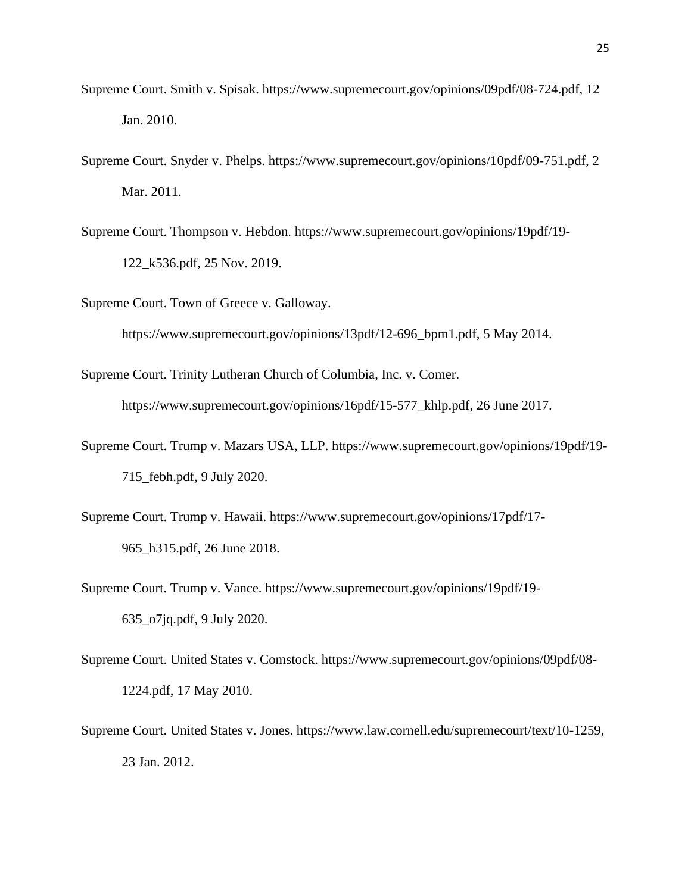- Supreme Court. Smith v. Spisak. https://www.supremecourt.gov/opinions/09pdf/08-724.pdf, 12 Jan. 2010.
- Supreme Court. Snyder v. Phelps. https://www.supremecourt.gov/opinions/10pdf/09-751.pdf, 2 Mar. 2011.
- Supreme Court. Thompson v. Hebdon. https://www.supremecourt.gov/opinions/19pdf/19- 122\_k536.pdf, 25 Nov. 2019.
- Supreme Court. Town of Greece v. Galloway.

https://www.supremecourt.gov/opinions/13pdf/12-696\_bpm1.pdf, 5 May 2014.

Supreme Court. Trinity Lutheran Church of Columbia, Inc. v. Comer.

https://www.supremecourt.gov/opinions/16pdf/15-577\_khlp.pdf, 26 June 2017.

- Supreme Court. Trump v. Mazars USA, LLP. https://www.supremecourt.gov/opinions/19pdf/19- 715\_febh.pdf, 9 July 2020.
- Supreme Court. Trump v. Hawaii. https://www.supremecourt.gov/opinions/17pdf/17- 965\_h315.pdf, 26 June 2018.
- Supreme Court. Trump v. Vance. https://www.supremecourt.gov/opinions/19pdf/19- 635\_o7jq.pdf, 9 July 2020.
- Supreme Court. United States v. Comstock. https://www.supremecourt.gov/opinions/09pdf/08- 1224.pdf, 17 May 2010.
- Supreme Court. United States v. Jones. https://www.law.cornell.edu/supremecourt/text/10-1259, 23 Jan. 2012.